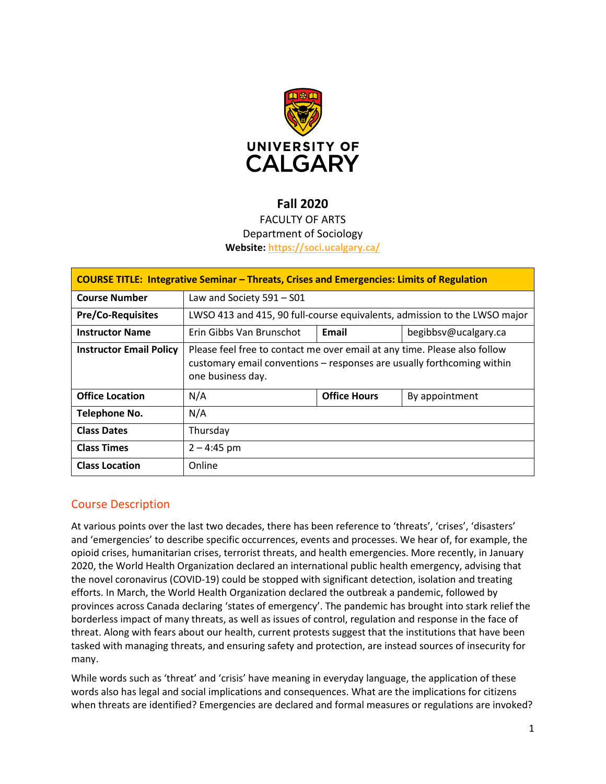

# **Fall 2020**

# FACULTY OF ARTS Department of Sociology **Website:<https://soci.ucalgary.ca/>**

| <b>COURSE TITLE: Integrative Seminar - Threats, Crises and Emergencies: Limits of Regulation</b> |                                                                                                                                                                          |                     |                      |  |  |
|--------------------------------------------------------------------------------------------------|--------------------------------------------------------------------------------------------------------------------------------------------------------------------------|---------------------|----------------------|--|--|
| <b>Course Number</b>                                                                             | Law and Society $591 - 501$                                                                                                                                              |                     |                      |  |  |
| <b>Pre/Co-Requisites</b>                                                                         | LWSO 413 and 415, 90 full-course equivalents, admission to the LWSO major                                                                                                |                     |                      |  |  |
| <b>Instructor Name</b>                                                                           | Erin Gibbs Van Brunschot                                                                                                                                                 | Email               | begibbsv@ucalgary.ca |  |  |
| <b>Instructor Email Policy</b>                                                                   | Please feel free to contact me over email at any time. Please also follow<br>customary email conventions – responses are usually forthcoming within<br>one business day. |                     |                      |  |  |
| <b>Office Location</b>                                                                           | N/A                                                                                                                                                                      | <b>Office Hours</b> | By appointment       |  |  |
| <b>Telephone No.</b>                                                                             | N/A                                                                                                                                                                      |                     |                      |  |  |
| <b>Class Dates</b>                                                                               | Thursday                                                                                                                                                                 |                     |                      |  |  |
| <b>Class Times</b>                                                                               | $2 - 4:45$ pm                                                                                                                                                            |                     |                      |  |  |
| <b>Class Location</b>                                                                            | Online                                                                                                                                                                   |                     |                      |  |  |

# Course Description

At various points over the last two decades, there has been reference to 'threats', 'crises', 'disasters' and 'emergencies' to describe specific occurrences, events and processes. We hear of, for example, the opioid crises, humanitarian crises, terrorist threats, and health emergencies. More recently, in January 2020, the World Health Organization declared an international public health emergency, advising that the novel coronavirus (COVID-19) could be stopped with significant detection, isolation and treating efforts. In March, the World Health Organization declared the outbreak a pandemic, followed by provinces across Canada declaring 'states of emergency'. The pandemic has brought into stark relief the borderless impact of many threats, as well as issues of control, regulation and response in the face of threat. Along with fears about our health, current protests suggest that the institutions that have been tasked with managing threats, and ensuring safety and protection, are instead sources of insecurity for many.

While words such as 'threat' and 'crisis' have meaning in everyday language, the application of these words also has legal and social implications and consequences. What are the implications for citizens when threats are identified? Emergencies are declared and formal measures or regulations are invoked?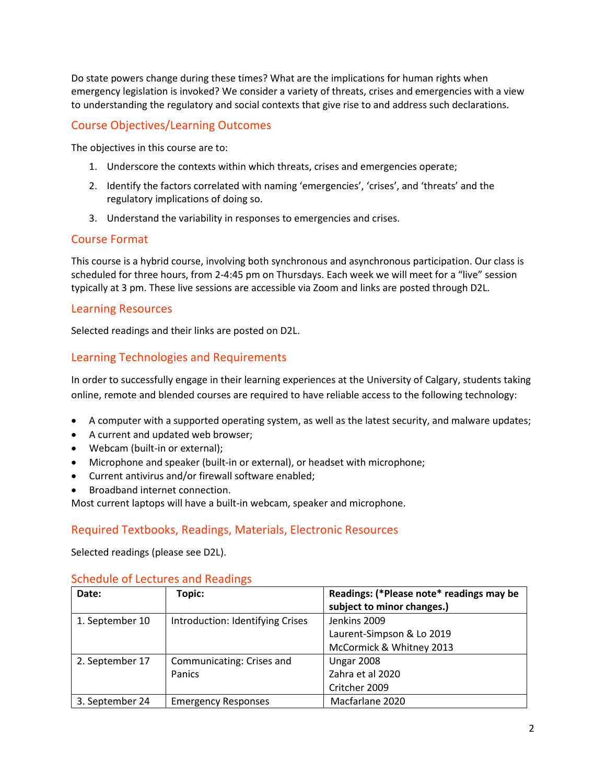Do state powers change during these times? What are the implications for human rights when emergency legislation is invoked? We consider a variety of threats, crises and emergencies with a view to understanding the regulatory and social contexts that give rise to and address such declarations.

# Course Objectives/Learning Outcomes

The objectives in this course are to:

- 1. Underscore the contexts within which threats, crises and emergencies operate;
- 2. Identify the factors correlated with naming 'emergencies', 'crises', and 'threats' and the regulatory implications of doing so.
- 3. Understand the variability in responses to emergencies and crises.

### Course Format

This course is a hybrid course, involving both synchronous and asynchronous participation. Our class is scheduled for three hours, from 2-4:45 pm on Thursdays. Each week we will meet for a "live" session typically at 3 pm. These live sessions are accessible via Zoom and links are posted through D2L.

#### Learning Resources

Selected readings and their links are posted on D2L.

# Learning Technologies and Requirements

In order to successfully engage in their learning experiences at the University of Calgary, students taking online, remote and blended courses are required to have reliable access to the following technology:

- A computer with a supported operating system, as well as the latest security, and malware updates;
- A current and updated web browser;
- Webcam (built-in or external);
- Microphone and speaker (built-in or external), or headset with microphone;
- Current antivirus and/or firewall software enabled;
- Broadband internet connection.

Most current laptops will have a built-in webcam, speaker and microphone.

# Required Textbooks, Readings, Materials, Electronic Resources

Selected readings (please see D2L).

#### Schedule of Lectures and Readings

| Date:           | Topic:                           | Readings: (*Please note* readings may be |
|-----------------|----------------------------------|------------------------------------------|
|                 |                                  | subject to minor changes.)               |
| 1. September 10 | Introduction: Identifying Crises | Jenkins 2009                             |
|                 |                                  | Laurent-Simpson & Lo 2019                |
|                 |                                  | McCormick & Whitney 2013                 |
| 2. September 17 | Communicating: Crises and        | <b>Ungar 2008</b>                        |
|                 | Panics                           | Zahra et al 2020                         |
|                 |                                  | Critcher 2009                            |
| 3. September 24 | <b>Emergency Responses</b>       | Macfarlane 2020                          |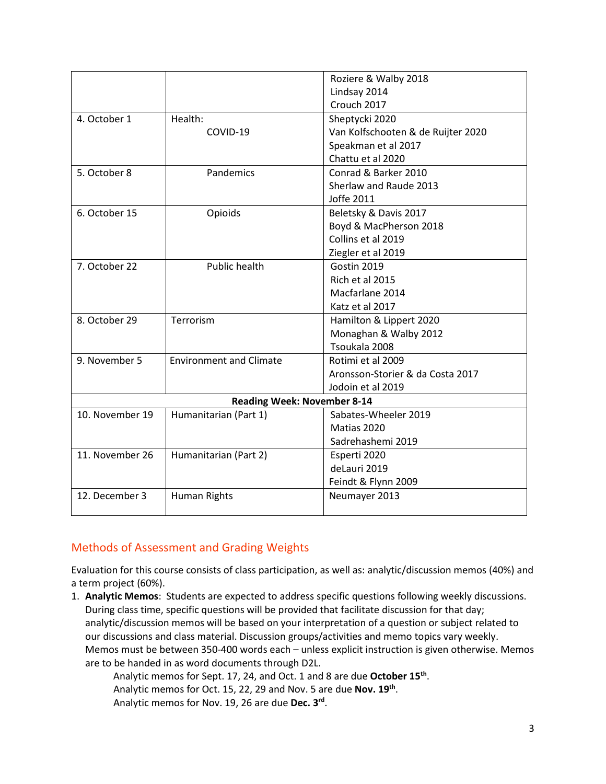|                                    |                                | Roziere & Walby 2018               |  |  |
|------------------------------------|--------------------------------|------------------------------------|--|--|
|                                    |                                | Lindsay 2014                       |  |  |
|                                    |                                | Crouch 2017                        |  |  |
|                                    |                                |                                    |  |  |
| 4. October 1                       | Health:                        | Sheptycki 2020                     |  |  |
|                                    | COVID-19                       | Van Kolfschooten & de Ruijter 2020 |  |  |
|                                    |                                | Speakman et al 2017                |  |  |
|                                    |                                | Chattu et al 2020                  |  |  |
| 5. October 8                       | Pandemics                      | Conrad & Barker 2010               |  |  |
|                                    |                                | Sherlaw and Raude 2013             |  |  |
|                                    |                                | Joffe 2011                         |  |  |
| 6. October 15                      | Opioids                        | Beletsky & Davis 2017              |  |  |
|                                    |                                | Boyd & MacPherson 2018             |  |  |
|                                    |                                | Collins et al 2019                 |  |  |
|                                    |                                | Ziegler et al 2019                 |  |  |
| 7. October 22                      | <b>Public health</b>           | Gostin 2019                        |  |  |
|                                    |                                | Rich et al 2015                    |  |  |
|                                    |                                | Macfarlane 2014                    |  |  |
|                                    |                                | Katz et al 2017                    |  |  |
| 8. October 29                      | Terrorism                      | Hamilton & Lippert 2020            |  |  |
|                                    |                                | Monaghan & Walby 2012              |  |  |
|                                    |                                | Tsoukala 2008                      |  |  |
| 9. November 5                      | <b>Environment and Climate</b> | Rotimi et al 2009                  |  |  |
|                                    |                                | Aronsson-Storier & da Costa 2017   |  |  |
|                                    |                                | Jodoin et al 2019                  |  |  |
| <b>Reading Week: November 8-14</b> |                                |                                    |  |  |
| 10. November 19                    | Humanitarian (Part 1)          | Sabates-Wheeler 2019               |  |  |
|                                    |                                | Matias 2020                        |  |  |
|                                    |                                | Sadrehashemi 2019                  |  |  |
| 11. November 26                    | Humanitarian (Part 2)          | Esperti 2020                       |  |  |
|                                    |                                | deLauri 2019                       |  |  |
|                                    |                                | Feindt & Flynn 2009                |  |  |
| 12. December 3                     | <b>Human Rights</b>            | Neumayer 2013                      |  |  |
|                                    |                                |                                    |  |  |

# Methods of Assessment and Grading Weights

Evaluation for this course consists of class participation, as well as: analytic/discussion memos (40%) and a term project (60%).

1. **Analytic Memos**: Students are expected to address specific questions following weekly discussions. During class time, specific questions will be provided that facilitate discussion for that day; analytic/discussion memos will be based on your interpretation of a question or subject related to our discussions and class material. Discussion groups/activities and memo topics vary weekly. Memos must be between 350-400 words each – unless explicit instruction is given otherwise. Memos are to be handed in as word documents through D2L.

Analytic memos for Sept. 17, 24, and Oct. 1 and 8 are due **October 15th**. Analytic memos for Oct. 15, 22, 29 and Nov. 5 are due **Nov. 19th**. Analytic memos for Nov. 19, 26 are due **Dec. 3rd**.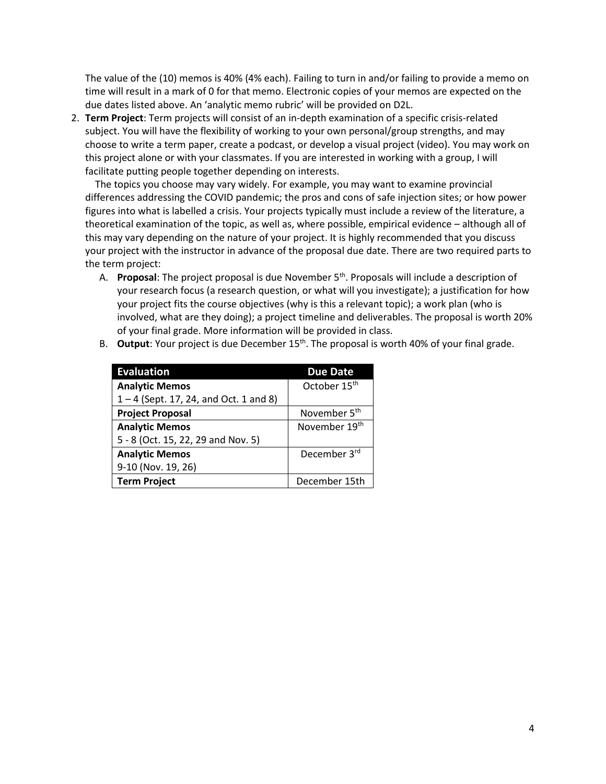The value of the (10) memos is 40% (4% each). Failing to turn in and/or failing to provide a memo on time will result in a mark of 0 for that memo. Electronic copies of your memos are expected on the due dates listed above. An 'analytic memo rubric' will be provided on D2L.

2. **Term Project**: Term projects will consist of an in-depth examination of a specific crisis-related subject. You will have the flexibility of working to your own personal/group strengths, and may choose to write a term paper, create a podcast, or develop a visual project (video). You may work on this project alone or with your classmates. If you are interested in working with a group, I will facilitate putting people together depending on interests.

The topics you choose may vary widely. For example, you may want to examine provincial differences addressing the COVID pandemic; the pros and cons of safe injection sites; or how power figures into what is labelled a crisis. Your projects typically must include a review of the literature, a theoretical examination of the topic, as well as, where possible, empirical evidence – although all of this may vary depending on the nature of your project. It is highly recommended that you discuss your project with the instructor in advance of the proposal due date. There are two required parts to the term project:

A. **Proposal**: The project proposal is due November 5<sup>th</sup>. Proposals will include a description of your research focus (a research question, or what will you investigate); a justification for how your project fits the course objectives (why is this a relevant topic); a work plan (who is involved, what are they doing); a project timeline and deliverables. The proposal is worth 20% of your final grade. More information will be provided in class.

| <b>Evaluation</b>                        | <b>Due Date</b>          |
|------------------------------------------|--------------------------|
| <b>Analytic Memos</b>                    | October 15th             |
| $1 - 4$ (Sept. 17, 24, and Oct. 1 and 8) |                          |
| <b>Project Proposal</b>                  | November 5 <sup>th</sup> |
| <b>Analytic Memos</b>                    | November 19th            |
| 5 - 8 (Oct. 15, 22, 29 and Nov. 5)       |                          |
| <b>Analytic Memos</b>                    | December 3rd             |
| 9-10 (Nov. 19, 26)                       |                          |
| <b>Term Project</b>                      | December 15th            |

B. **Output**: Your project is due December 15<sup>th</sup>. The proposal is worth 40% of your final grade.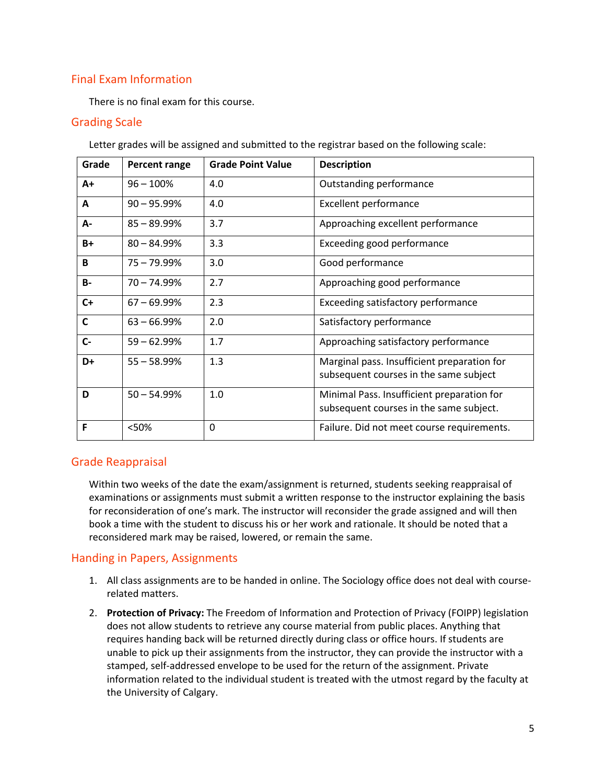# Final Exam Information

There is no final exam for this course.

### Grading Scale

| Grade        | Percent range  | <b>Grade Point Value</b> | <b>Description</b>                                                                    |
|--------------|----------------|--------------------------|---------------------------------------------------------------------------------------|
| $A+$         | $96 - 100%$    | 4.0                      | Outstanding performance                                                               |
| A            | $90 - 95.99\%$ | 4.0                      | <b>Excellent performance</b>                                                          |
| А-           | $85 - 89.99%$  | 3.7                      | Approaching excellent performance                                                     |
| $B+$         | $80 - 84.99%$  | 3.3                      | Exceeding good performance                                                            |
| B            | $75 - 79.99\%$ | 3.0                      | Good performance                                                                      |
| <b>B-</b>    | $70 - 74.99%$  | 2.7                      | Approaching good performance                                                          |
| $C+$         | $67 - 69.99%$  | 2.3                      | Exceeding satisfactory performance                                                    |
| $\mathsf{C}$ | $63 - 66.99%$  | 2.0                      | Satisfactory performance                                                              |
| $C-$         | $59 - 62.99%$  | 1.7                      | Approaching satisfactory performance                                                  |
| D+           | $55 - 58.99%$  | 1.3                      | Marginal pass. Insufficient preparation for<br>subsequent courses in the same subject |
| D            | $50 - 54.99%$  | 1.0                      | Minimal Pass. Insufficient preparation for<br>subsequent courses in the same subject. |
| F            | <50%           | 0                        | Failure. Did not meet course requirements.                                            |

Letter grades will be assigned and submitted to the registrar based on the following scale:

# Grade Reappraisal

Within two weeks of the date the exam/assignment is returned, students seeking reappraisal of examinations or assignments must submit a written response to the instructor explaining the basis for reconsideration of one's mark. The instructor will reconsider the grade assigned and will then book a time with the student to discuss his or her work and rationale. It should be noted that a reconsidered mark may be raised, lowered, or remain the same.

# Handing in Papers, Assignments

- 1. All class assignments are to be handed in online. The Sociology office does not deal with courserelated matters.
- 2. **Protection of Privacy:** The Freedom of Information and Protection of Privacy (FOIPP) legislation does not allow students to retrieve any course material from public places. Anything that requires handing back will be returned directly during class or office hours. If students are unable to pick up their assignments from the instructor, they can provide the instructor with a stamped, self-addressed envelope to be used for the return of the assignment. Private information related to the individual student is treated with the utmost regard by the faculty at the University of Calgary.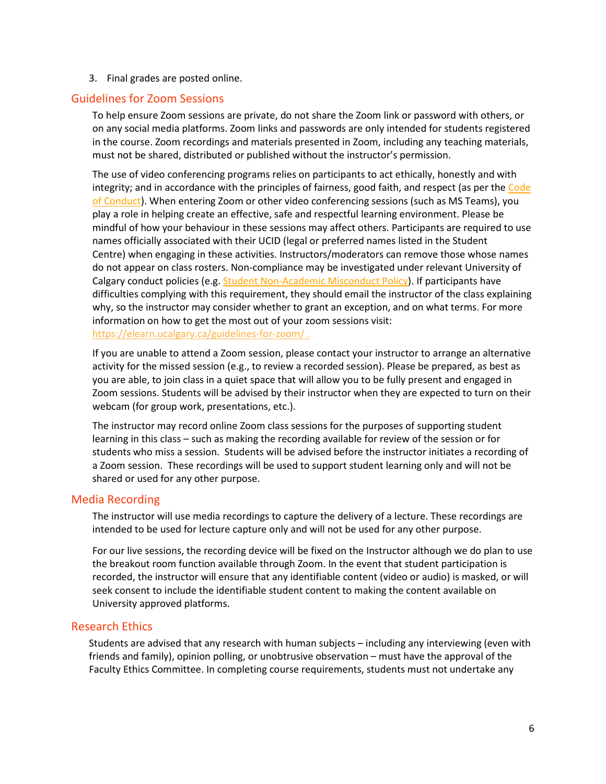3. Final grades are posted online.

#### Guidelines for Zoom Sessions

To help ensure Zoom sessions are private, do not share the Zoom link or password with others, or on any social media platforms. Zoom links and passwords are only intended for students registered in the course. Zoom recordings and materials presented in Zoom, including any teaching materials, must not be shared, distributed or published without the instructor's permission.

The use of video conferencing programs relies on participants to act ethically, honestly and with integrity; and in accordance with the principles of fairness, good faith, and respect (as per the [Code](https://www.ucalgary.ca/policies/files/policies/code-of-conduct.pdf)  [of Conduct\)](https://www.ucalgary.ca/policies/files/policies/code-of-conduct.pdf). When entering Zoom or other video conferencing sessions (such as MS Teams), you play a role in helping create an effective, safe and respectful learning environment. Please be mindful of how your behaviour in these sessions may affect others. Participants are required to use names officially associated with their UCID (legal or preferred names listed in the Student Centre) when engaging in these activities. Instructors/moderators can remove those whose names do not appear on class rosters. Non-compliance may be investigated under relevant University of Calgary conduct policies (e.g. [Student Non-Academic Misconduct Policy\)](https://ucalgary.ca/policies/files/policies/non-academic-misconduct-policy.pdf). If participants have difficulties complying with this requirement, they should email the instructor of the class explaining why, so the instructor may consider whether to grant an exception, and on what terms. For more information on how to get the most out of your zoom sessions visit: <https://elearn.ucalgary.ca/guidelines-for-zoom/> .

If you are unable to attend a Zoom session, please contact your instructor to arrange an alternative activity for the missed session (e.g., to review a recorded session). Please be prepared, as best as you are able, to join class in a quiet space that will allow you to be fully present and engaged in Zoom sessions. Students will be advised by their instructor when they are expected to turn on their webcam (for group work, presentations, etc.).

The instructor may record online Zoom class sessions for the purposes of supporting student learning in this class – such as making the recording available for review of the session or for students who miss a session. Students will be advised before the instructor initiates a recording of a Zoom session. These recordings will be used to support student learning only and will not be shared or used for any other purpose.

#### Media Recording

The instructor will use media recordings to capture the delivery of a lecture. These recordings are intended to be used for lecture capture only and will not be used for any other purpose.

For our live sessions, the recording device will be fixed on the Instructor although we do plan to use the breakout room function available through Zoom. In the event that student participation is recorded, the instructor will ensure that any identifiable content (video or audio) is masked, or will seek consent to include the identifiable student content to making the content available on University approved platforms.

#### Research Ethics

Students are advised that any research with human subjects – including any interviewing (even with friends and family), opinion polling, or unobtrusive observation – must have the approval of the Faculty Ethics Committee. In completing course requirements, students must not undertake any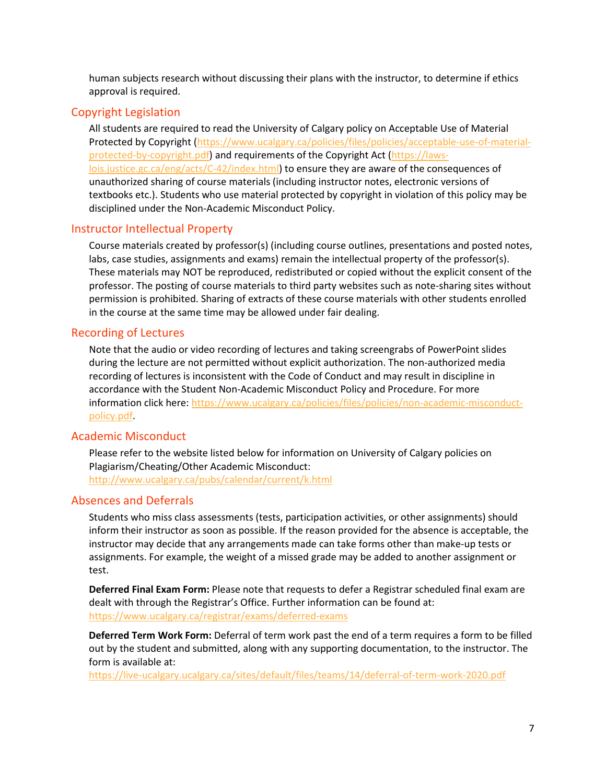human subjects research without discussing their plans with the instructor, to determine if ethics approval is required.

# Copyright Legislation

All students are required to read the University of Calgary policy on Acceptable Use of Material Protected by Copyright [\(https://www.ucalgary.ca/policies/files/policies/acceptable-use-of-material](https://www.ucalgary.ca/policies/files/policies/acceptable-use-of-material-protected-by-copyright.pdf)[protected-by-copyright.pdf\)](https://www.ucalgary.ca/policies/files/policies/acceptable-use-of-material-protected-by-copyright.pdf) and requirements of the Copyright Act [\(https://laws](https://laws-lois.justice.gc.ca/eng/acts/C-42/index.html)[lois.justice.gc.ca/eng/acts/C-42/index.html\)](https://laws-lois.justice.gc.ca/eng/acts/C-42/index.html) to ensure they are aware of the consequences of unauthorized sharing of course materials (including instructor notes, electronic versions of textbooks etc.). Students who use material protected by copyright in violation of this policy may be disciplined under the Non-Academic Misconduct Policy.

# Instructor Intellectual Property

Course materials created by professor(s) (including course outlines, presentations and posted notes, labs, case studies, assignments and exams) remain the intellectual property of the professor(s). These materials may NOT be reproduced, redistributed or copied without the explicit consent of the professor. The posting of course materials to third party websites such as note-sharing sites without permission is prohibited. Sharing of extracts of these course materials with other students enrolled in the course at the same time may be allowed under fair dealing.

# Recording of Lectures

Note that the audio or video recording of lectures and taking screengrabs of PowerPoint slides during the lecture are not permitted without explicit authorization. The non-authorized media recording of lectures is inconsistent with the Code of Conduct and may result in discipline in accordance with the Student Non-Academic Misconduct Policy and Procedure. For more information click here: [https://www.ucalgary.ca/policies/files/policies/non-academic-misconduct](https://www.ucalgary.ca/policies/files/policies/non-academic-misconduct-policy.pdf)[policy.pdf.](https://www.ucalgary.ca/policies/files/policies/non-academic-misconduct-policy.pdf)

# Academic Misconduct

Please refer to the website listed below for information on University of Calgary policies on Plagiarism/Cheating/Other Academic Misconduct: <http://www.ucalgary.ca/pubs/calendar/current/k.html>

# Absences and Deferrals

Students who miss class assessments (tests, participation activities, or other assignments) should inform their instructor as soon as possible. If the reason provided for the absence is acceptable, the instructor may decide that any arrangements made can take forms other than make-up tests or assignments. For example, the weight of a missed grade may be added to another assignment or test.

**Deferred Final Exam Form:** Please note that requests to defer a Registrar scheduled final exam are dealt with through the Registrar's Office. Further information can be found at: <https://www.ucalgary.ca/registrar/exams/deferred-exams>

**Deferred Term Work Form:** Deferral of term work past the end of a term requires a form to be filled out by the student and submitted, along with any supporting documentation, to the instructor. The form is available at:

<https://live-ucalgary.ucalgary.ca/sites/default/files/teams/14/deferral-of-term-work-2020.pdf>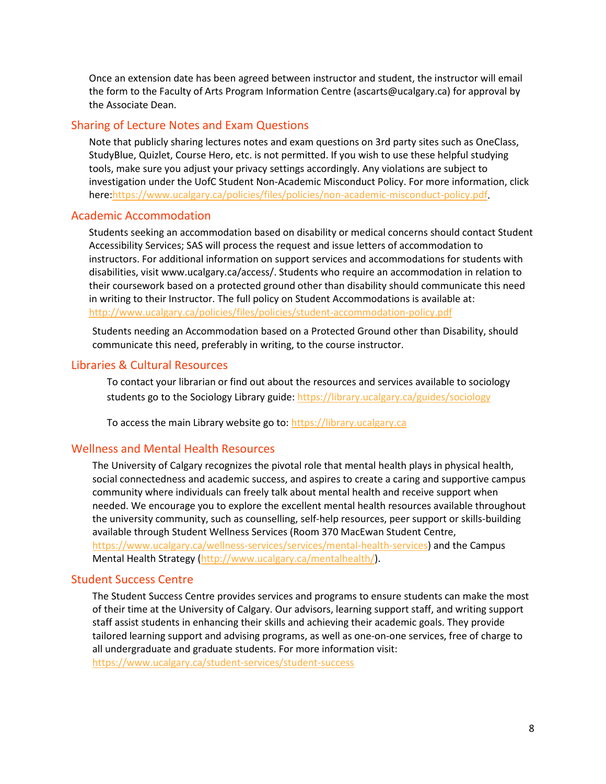Once an extension date has been agreed between instructor and student, the instructor will email the form to the Faculty of Arts Program Information Centre (ascarts@ucalgary.ca) for approval by the Associate Dean.

#### Sharing of Lecture Notes and Exam Questions

Note that publicly sharing lectures notes and exam questions on 3rd party sites such as OneClass, StudyBlue, Quizlet, Course Hero, etc. is not permitted. If you wish to use these helpful studying tools, make sure you adjust your privacy settings accordingly. Any violations are subject to investigation under the UofC Student Non-Academic Misconduct Policy. For more information, click here[:https://www.ucalgary.ca/policies/files/policies/non-academic-misconduct-policy.pdf.](https://www.ucalgary.ca/policies/files/policies/non-academic-misconduct-policy.pdf)

#### Academic Accommodation

Students seeking an accommodation based on disability or medical concerns should contact Student Accessibility Services; SAS will process the request and issue letters of accommodation to instructors. For additional information on support services and accommodations for students with disabilities, visit www.ucalgary.ca/access/. Students who require an accommodation in relation to their coursework based on a protected ground other than disability should communicate this need in writing to their Instructor. The full policy on Student Accommodations is available at: <http://www.ucalgary.ca/policies/files/policies/student-accommodation-policy.pdf>

Students needing an Accommodation based on a Protected Ground other than Disability, should communicate this need, preferably in writing, to the course instructor.

### Libraries & Cultural Resources

To contact your librarian or find out about the resources and services available to sociology students go to the Sociology Library guide[: https://library.ucalgary.ca/guides/sociology](https://library.ucalgary.ca/guides/sociology)

To access the main Library website go to: [https://library.ucalgary.ca](https://library.ucalgary.ca/)

#### Wellness and Mental Health Resources

The University of Calgary recognizes the pivotal role that mental health plays in physical health, social connectedness and academic success, and aspires to create a caring and supportive campus community where individuals can freely talk about mental health and receive support when needed. We encourage you to explore the excellent mental health resources available throughout the university community, such as counselling, self-help resources, peer support or skills-building available through Student Wellness Services (Room 370 MacEwan Student Centre, [https://www.ucalgary.ca/wellness-services/services/mental-health-services\)](https://www.ucalgary.ca/wellness-services/services/mental-health-services) and the Campus Mental Health Strategy [\(http://www.ucalgary.ca/mentalhealth/\)](http://www.ucalgary.ca/mentalhealth/).

#### Student Success Centre

The Student Success Centre provides services and programs to ensure students can make the most of their time at the University of Calgary. Our advisors, learning support staff, and writing support staff assist students in enhancing their skills and achieving their academic goals. They provide tailored learning support and advising programs, as well as one-on-one services, free of charge to all undergraduate and graduate students. For more information visit: <https://www.ucalgary.ca/student-services/student-success>